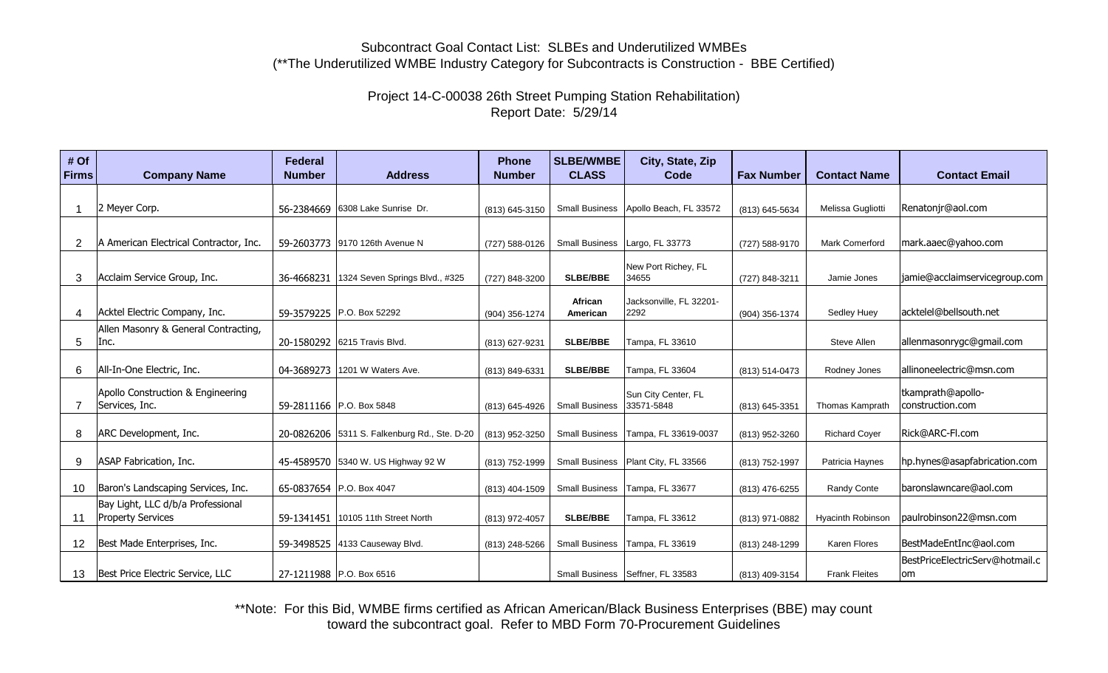# Project 14-C-00038 26th Street Pumping Station Rehabilitation) Report Date: 5/29/14

| # Of<br><b>Firms</b> | <b>Company Name</b>                    | <b>Federal</b><br><b>Number</b> | <b>Address</b>                               | <b>Phone</b><br><b>Number</b> | <b>SLBE/WMBE</b><br><b>CLASS</b> | City, State, Zip<br>Code           | <b>Fax Number</b> | <b>Contact Name</b>      | <b>Contact Email</b>            |
|----------------------|----------------------------------------|---------------------------------|----------------------------------------------|-------------------------------|----------------------------------|------------------------------------|-------------------|--------------------------|---------------------------------|
|                      |                                        |                                 |                                              |                               |                                  |                                    |                   |                          |                                 |
|                      | 2 Meyer Corp.                          | 56-2384669                      | 6308 Lake Sunrise Dr.                        | (813) 645-3150                | <b>Small Business</b>            | Apollo Beach, FL 33572             | (813) 645-5634    | Melissa Gugliotti        | Renatonjr@aol.com               |
|                      |                                        |                                 |                                              |                               |                                  |                                    |                   |                          |                                 |
| 2                    | A American Electrical Contractor, Inc. |                                 | 59-2603773 9170 126th Avenue N               | (727) 588-0126                | <b>Small Business</b>            | Largo, FL 33773                    | (727) 588-9170    | <b>Mark Comerford</b>    | mark.aaec@yahoo.com             |
|                      |                                        |                                 |                                              |                               |                                  |                                    |                   |                          |                                 |
| 3                    | Acclaim Service Group, Inc.            | 36-4668231                      | 1324 Seven Springs Blvd., #325               | (727) 848-3200                | <b>SLBE/BBE</b>                  | New Port Richey, FL<br>34655       | (727) 848-3211    | Jamie Jones              | jamie@acclaimservicegroup.com   |
|                      |                                        |                                 |                                              |                               | African                          |                                    |                   |                          |                                 |
| $\overline{4}$       | Acktel Electric Company, Inc.          |                                 | 59-3579225 P.O. Box 52292                    | (904) 356-1274                | American                         | Jacksonville, FL 32201-<br>2292    | (904) 356-1374    | Sedley Huey              | acktelel@bellsouth.net          |
|                      | Allen Masonry & General Contracting,   |                                 |                                              |                               |                                  |                                    |                   |                          |                                 |
| 5                    | Inc.                                   |                                 | 20-1580292 6215 Travis Blvd.                 | (813) 627-9231                | <b>SLBE/BBE</b>                  | Tampa, FL 33610                    |                   | Steve Allen              | allenmasonrygc@gmail.com        |
| 6                    | All-In-One Electric, Inc.              |                                 | 04-3689273 1201 W Waters Ave.                |                               | SLBE/BBE                         | Tampa, FL 33604                    |                   | Rodney Jones             | allinoneelectric@msn.com        |
|                      |                                        |                                 |                                              | (813) 849-6331                |                                  |                                    | (813) 514-0473    |                          |                                 |
|                      | Apollo Construction & Engineering      |                                 |                                              |                               |                                  | Sun City Center, FL                |                   |                          | tkamprath@apollo-               |
| 7                    | Services, Inc.                         |                                 | 59-2811166 P.O. Box 5848                     | (813) 645-4926                | <b>Small Business</b>            | 33571-5848                         | (813) 645-3351    | Thomas Kamprath          | construction.com                |
| 8                    | ARC Development, Inc.                  |                                 | 20-0826206 5311 S. Falkenburg Rd., Ste. D-20 | (813) 952-3250                | <b>Small Business</b>            | Tampa, FL 33619-0037               | (813) 952-3260    | <b>Richard Coyer</b>     | Rick@ARC-Fl.com                 |
|                      |                                        |                                 |                                              |                               |                                  |                                    |                   |                          |                                 |
| 9                    | ASAP Fabrication, Inc.                 |                                 | 45-4589570 5340 W. US Highway 92 W           | (813) 752-1999                | <b>Small Business</b>            | Plant City, FL 33566               | (813) 752-1997    | Patricia Haynes          | hp.hynes@asapfabrication.com    |
| 10                   | Baron's Landscaping Services, Inc.     |                                 |                                              |                               |                                  |                                    |                   |                          | baronslawncare@aol.com          |
|                      | Bay Light, LLC d/b/a Professional      |                                 | 65-0837654 P.O. Box 4047                     | (813) 404-1509                | <b>Small Business</b>            | Tampa, FL 33677                    | (813) 476-6255    | Randy Conte              |                                 |
| 11                   | <b>Property Services</b>               |                                 | 59-1341451 10105 11th Street North           | (813) 972-4057                | SLBE/BBE                         | Tampa, FL 33612                    | (813) 971-0882    | <b>Hyacinth Robinson</b> | paulrobinson22@msn.com          |
|                      |                                        |                                 |                                              |                               |                                  |                                    |                   |                          |                                 |
| 12                   | Best Made Enterprises, Inc.            |                                 | 59-3498525 4133 Causeway Blvd.               | (813) 248-5266                | <b>Small Business</b>            | Tampa, FL 33619                    | (813) 248-1299    | Karen Flores             | BestMadeEntInc@aol.com          |
|                      |                                        |                                 |                                              |                               |                                  |                                    |                   |                          | BestPriceElectricServ@hotmail.c |
| 13                   | Best Price Electric Service, LLC       |                                 | 27-1211988 P.O. Box 6516                     |                               |                                  | Small Business   Seffner, FL 33583 | (813) 409-3154    | <b>Frank Fleites</b>     | om                              |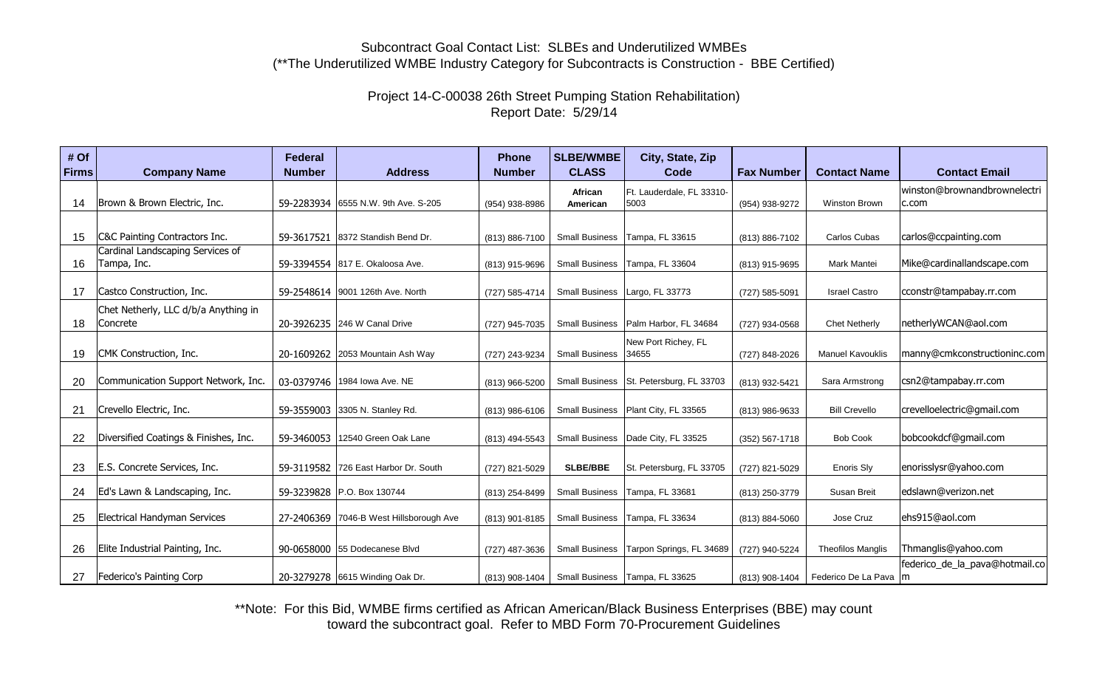# Project 14-C-00038 26th Street Pumping Station Rehabilitation) Report Date: 5/29/14

| # Of         |                                                   | <b>Federal</b> |                                         | <b>Phone</b>   | <b>SLBE/WMBE</b>      | City, State, Zip                  |                   |                          |                                       |
|--------------|---------------------------------------------------|----------------|-----------------------------------------|----------------|-----------------------|-----------------------------------|-------------------|--------------------------|---------------------------------------|
| <b>Firms</b> | <b>Company Name</b>                               | <b>Number</b>  | <b>Address</b>                          | <b>Number</b>  | <b>CLASS</b>          | Code                              | <b>Fax Number</b> | <b>Contact Name</b>      | <b>Contact Email</b>                  |
| 14           | Brown & Brown Electric, Inc.                      |                | 59-2283934 6555 N.W. 9th Ave. S-205     | (954) 938-8986 | African<br>American   | Ft. Lauderdale, FL 33310-<br>5003 | (954) 938-9272    | <b>Winston Brown</b>     | winston@brownandbrownelectri<br>c.com |
| 15           | <b>C&amp;C Painting Contractors Inc.</b>          |                | 59-3617521 8372 Standish Bend Dr.       | (813) 886-7100 | <b>Small Business</b> | Tampa, FL 33615                   | (813) 886-7102    | <b>Carlos Cubas</b>      | carlos@ccpainting.com                 |
| 16           | Cardinal Landscaping Services of<br>Tampa, Inc.   |                | 59-3394554 817 E. Okaloosa Ave.         | (813) 915-9696 | <b>Small Business</b> | Tampa, FL 33604                   | (813) 915-9695    | Mark Mantei              | Mike@cardinallandscape.com            |
| 17           | Castco Construction, Inc.                         |                | 59-2548614 9001 126th Ave. North        | (727) 585-4714 | <b>Small Business</b> | Largo, FL 33773                   | (727) 585-5091    | <b>Israel Castro</b>     | cconstr@tampabay.rr.com               |
| 18           | Chet Netherly, LLC d/b/a Anything in<br> Concrete |                | 20-3926235 246 W Canal Drive            | (727) 945-7035 | <b>Small Business</b> | Palm Harbor, FL 34684             | (727) 934-0568    | <b>Chet Netherly</b>     | netherlyWCAN@aol.com                  |
| 19           | CMK Construction, Inc.                            |                | 20-1609262 2053 Mountain Ash Way        | (727) 243-9234 | <b>Small Business</b> | New Port Richey, FL<br>34655      | (727) 848-2026    | <b>Manuel Kavouklis</b>  | manny@cmkconstructioninc.com          |
| 20           | Communication Support Network, Inc.               |                | 03-0379746 1984 lowa Ave. NE            | (813) 966-5200 | <b>Small Business</b> | St. Petersburg, FL 33703          | (813) 932-5421    | Sara Armstrong           | csn2@tampabay.rr.com                  |
| 21           | Crevello Electric, Inc.                           |                | 59-3559003 3305 N. Stanley Rd.          | (813) 986-6106 | <b>Small Business</b> | Plant City, FL 33565              | (813) 986-9633    | <b>Bill Crevello</b>     | crevelloelectric@gmail.com            |
| 22           | Diversified Coatings & Finishes, Inc.             |                | 59-3460053 12540 Green Oak Lane         | (813) 494-5543 | <b>Small Business</b> | Dade City, FL 33525               | (352) 567-1718    | <b>Bob Cook</b>          | bobcookdcf@gmail.com                  |
| 23           | E.S. Concrete Services, Inc.                      |                | 59-3119582 726 East Harbor Dr. South    | (727) 821-5029 | <b>SLBE/BBE</b>       | St. Petersburg, FL 33705          | (727) 821-5029    | Enoris Sly               | enorisslysr@yahoo.com                 |
| 24           | Ed's Lawn & Landscaping, Inc.                     |                | 59-3239828 P.O. Box 130744              | (813) 254-8499 | <b>Small Business</b> | Tampa, FL 33681                   | (813) 250-3779    | Susan Breit              | edslawn@verizon.net                   |
| 25           | Electrical Handyman Services                      |                | 27-2406369 7046-B West Hillsborough Ave | (813) 901-8185 | <b>Small Business</b> | Tampa, FL 33634                   | (813) 884-5060    | Jose Cruz                | ehs915@aol.com                        |
| 26           | Elite Industrial Painting, Inc.                   |                | 90-0658000 55 Dodecanese Blvd           | (727) 487-3636 | <b>Small Business</b> | Tarpon Springs, FL 34689          | (727) 940-5224    | <b>Theofilos Manglis</b> | Thmanglis@yahoo.com                   |
| 27           | Federico's Painting Corp                          |                | 20-3279278 6615 Winding Oak Dr.         | (813) 908-1404 |                       | Small Business   Tampa, FL 33625  | (813) 908-1404    | Federico De La Pava   m  | federico de la pava@hotmail.co        |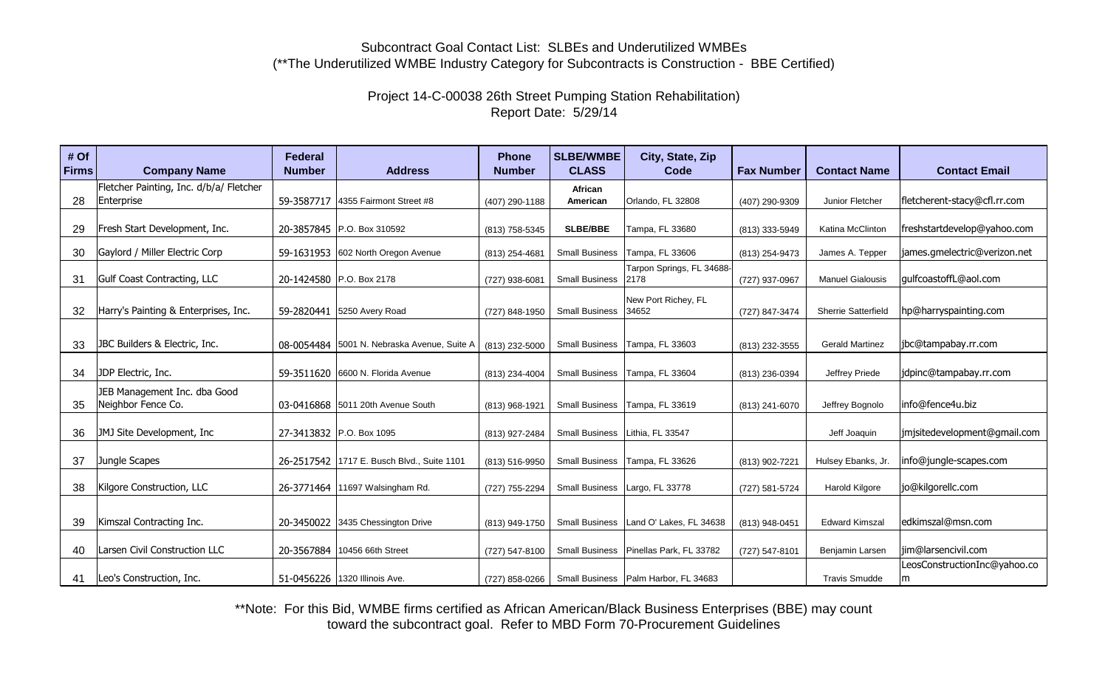# Project 14-C-00038 26th Street Pumping Station Rehabilitation) Report Date: 5/29/14

| # Of<br><b>Firms</b> | <b>Company Name</b>                     | Federal<br><b>Number</b> | <b>Address</b>                               | <b>Phone</b><br><b>Number</b> | <b>SLBE/WMBE</b><br><b>CLASS</b> | City, State, Zip<br>Code               | <b>Fax Number</b> | <b>Contact Name</b>        | <b>Contact Email</b>         |
|----------------------|-----------------------------------------|--------------------------|----------------------------------------------|-------------------------------|----------------------------------|----------------------------------------|-------------------|----------------------------|------------------------------|
|                      |                                         |                          |                                              |                               |                                  |                                        |                   |                            |                              |
|                      | Fletcher Painting, Inc. d/b/a/ Fletcher |                          |                                              |                               | African                          |                                        |                   |                            |                              |
| 28                   | Enterprise                              |                          | 59-3587717 4355 Fairmont Street #8           | (407) 290-1188                | American                         | Orlando, FL 32808                      | (407) 290-9309    | Junior Fletcher            | fletcherent-stacy@cfl.rr.com |
| 29                   | Fresh Start Development, Inc.           |                          | 20-3857845 P.O. Box 310592                   | (813) 758-5345                | <b>SLBE/BBE</b>                  | Tampa, FL 33680                        | (813) 333-5949    | Katina McClinton           | freshstartdevelop@yahoo.com  |
| 30                   | Gaylord / Miller Electric Corp          |                          | 59-1631953 602 North Oregon Avenue           | (813) 254-4681                | <b>Small Business</b>            | Tampa, FL 33606                        | (813) 254-9473    | James A. Tepper            | james.gmelectric@verizon.net |
|                      |                                         |                          |                                              |                               |                                  | Tarpon Springs, FL 34688-              |                   |                            |                              |
| 31                   | Gulf Coast Contracting, LLC             |                          | 20-1424580 P.O. Box 2178                     | (727) 938-6081                | <b>Small Business</b>            | 2178                                   | (727) 937-0967    | <b>Manuel Gialousis</b>    | qulfcoastoffL@aol.com        |
|                      |                                         |                          |                                              |                               |                                  | New Port Richey, FL                    |                   |                            |                              |
| 32                   | Harry's Painting & Enterprises, Inc.    |                          | 59-2820441 5250 Avery Road                   | (727) 848-1950                | <b>Small Business</b>            | 34652                                  | (727) 847-3474    | <b>Sherrie Satterfield</b> | hp@harryspainting.com        |
|                      |                                         |                          |                                              |                               |                                  |                                        |                   |                            |                              |
| 33                   | JBC Builders & Electric, Inc.           |                          | 08-0054484 5001 N. Nebraska Avenue, Suite A  | (813) 232-5000                | <b>Small Business</b>            | Tampa, FL 33603                        | (813) 232-3555    | <b>Gerald Martinez</b>     | jbc@tampabay.rr.com          |
|                      |                                         |                          |                                              |                               |                                  |                                        |                   |                            |                              |
| 34                   | JDP Electric, Inc.                      |                          | 59-3511620 6600 N. Florida Avenue            | (813) 234-4004                | <b>Small Business</b>            | Tampa, FL 33604                        | (813) 236-0394    | Jeffrey Priede             | jdpinc@tampabay.rr.com       |
|                      | JEB Management Inc. dba Good            |                          |                                              |                               |                                  |                                        |                   |                            |                              |
| 35                   | Neighbor Fence Co.                      |                          | 03-0416868 5011 20th Avenue South            | (813) 968-1921                | <b>Small Business</b>            | Tampa, FL 33619                        | (813) 241-6070    | Jeffrey Bognolo            | info@fence4u.biz             |
|                      |                                         |                          |                                              |                               |                                  |                                        |                   |                            |                              |
| 36                   | JMJ Site Development, Inc               |                          | 27-3413832 P.O. Box 1095                     | (813) 927-2484                | <b>Small Business</b>            | Lithia, FL 33547                       |                   | Jeff Joaquin               | jmjsitedevelopment@gmail.com |
|                      |                                         |                          |                                              |                               |                                  |                                        |                   |                            |                              |
| 37                   | Jungle Scapes                           |                          | 26-2517542   1717 E. Busch Blvd., Suite 1101 | (813) 516-9950                | <b>Small Business</b>            | Tampa, FL 33626                        | (813) 902-7221    | Hulsey Ebanks, Jr.         | info@jungle-scapes.com       |
|                      |                                         |                          |                                              |                               |                                  |                                        |                   |                            |                              |
| 38                   | Kilgore Construction, LLC               |                          | 26-3771464 11697 Walsingham Rd.              | (727) 755-2294                | <b>Small Business</b>            | Largo, FL 33778                        | (727) 581-5724    | Harold Kilgore             | jo@kilgorellc.com            |
|                      |                                         |                          |                                              |                               |                                  |                                        |                   |                            |                              |
| 39                   | Kimszal Contracting Inc.                |                          | 20-3450022 3435 Chessington Drive            | (813) 949-1750                | <b>Small Business</b>            | Land O' Lakes, FL 34638                | (813) 948-0451    | <b>Edward Kimszal</b>      | edkimszal@msn.com            |
|                      |                                         |                          |                                              |                               |                                  |                                        |                   |                            |                              |
| 40                   | Larsen Civil Construction LLC           |                          | 20-3567884 10456 66th Street                 | (727) 547-8100                | <b>Small Business</b>            | Pinellas Park, FL 33782                | (727) 547-8101    | Benjamin Larsen            | jim@larsencivil.com          |
|                      |                                         |                          |                                              |                               |                                  |                                        |                   |                            | LeosConstructionInc@yahoo.co |
| 41                   | Leo's Construction, Inc.                |                          | 51-0456226 1320 Illinois Ave.                | (727) 858-0266                |                                  | Small Business   Palm Harbor, FL 34683 |                   | <b>Travis Smudde</b>       | m                            |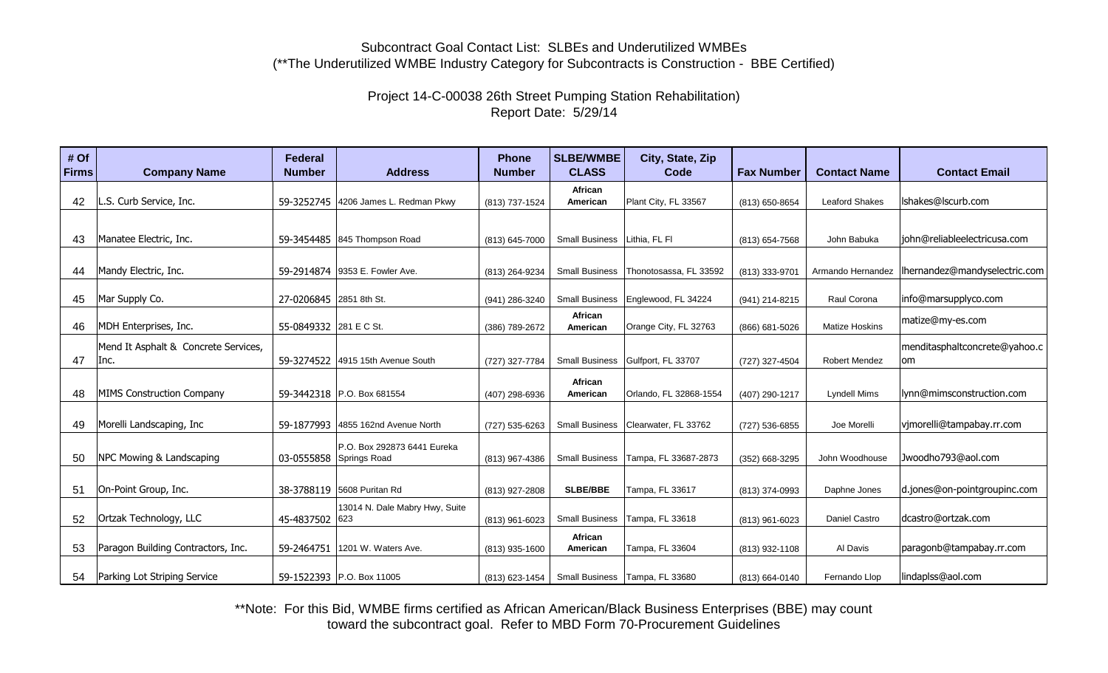# Project 14-C-00038 26th Street Pumping Station Rehabilitation) Report Date: 5/29/14

| # Of<br><b>Firms</b> | <b>Company Name</b>                          | <b>Federal</b><br><b>Number</b> | <b>Address</b>                        | <b>Phone</b><br><b>Number</b> | <b>SLBE/WMBE</b><br><b>CLASS</b> | City, State, Zip<br>Code         | <b>Fax Number</b> | <b>Contact Name</b>   | <b>Contact Email</b>                |
|----------------------|----------------------------------------------|---------------------------------|---------------------------------------|-------------------------------|----------------------------------|----------------------------------|-------------------|-----------------------|-------------------------------------|
|                      |                                              |                                 |                                       |                               |                                  |                                  |                   |                       |                                     |
| 42                   | L.S. Curb Service, Inc.                      |                                 | 59-3252745 4206 James L. Redman Pkwy  | (813) 737-1524                | African<br>American              | Plant City, FL 33567             | (813) 650-8654    | <b>Leaford Shakes</b> | Ishakes@Iscurb.com                  |
|                      |                                              |                                 |                                       |                               |                                  |                                  |                   |                       |                                     |
| 43                   | Manatee Electric, Inc.                       |                                 | 59-3454485 845 Thompson Road          | (813) 645-7000                | <b>Small Business</b>            | Lithia. FL FI                    | (813) 654-7568    | John Babuka           | john@reliableelectricusa.com        |
|                      |                                              |                                 |                                       |                               |                                  |                                  |                   |                       |                                     |
| 44                   | Mandy Electric, Inc.                         |                                 | 59-2914874 9353 E. Fowler Ave.        | (813) 264-9234                | <b>Small Business</b>            | Thonotosassa, FL 33592           | (813) 333-9701    | Armando Hernandez     | lhernandez@mandyselectric.com       |
|                      |                                              |                                 |                                       |                               |                                  |                                  |                   |                       |                                     |
| 45                   | Mar Supply Co.                               | 27-0206845 2851 8th St.         |                                       | (941) 286-3240                | <b>Small Business</b>            | Englewood, FL 34224              | (941) 214-8215    | Raul Corona           | info@marsupplyco.com                |
| 46                   | MDH Enterprises, Inc.                        | 55-0849332 281 E C St.          |                                       | (386) 789-2672                | African<br>American              | Orange City, FL 32763            | (866) 681-5026    | <b>Matize Hoskins</b> | matize@my-es.com                    |
|                      |                                              |                                 |                                       |                               |                                  |                                  |                   |                       |                                     |
| 47                   | Mend It Asphalt & Concrete Services,<br>Inc. |                                 | 59-3274522 4915 15th Avenue South     | (727) 327-7784                | <b>Small Business</b>            | Gulfport, FL 33707               | (727) 327-4504    | <b>Robert Mendez</b>  | menditasphaltconcrete@yahoo.c<br>om |
|                      |                                              |                                 |                                       |                               |                                  |                                  |                   |                       |                                     |
| 48                   | <b>MIMS Construction Company</b>             |                                 | 59-3442318 P.O. Box 681554            |                               | African<br>American              | Orlando, FL 32868-1554           |                   | <b>Lyndell Mims</b>   | lynn@mimsconstruction.com           |
|                      |                                              |                                 |                                       | (407) 298-6936                |                                  |                                  | (407) 290-1217    |                       |                                     |
| 49                   | Morelli Landscaping, Inc                     |                                 | 59-1877993 4855 162nd Avenue North    |                               | <b>Small Business</b>            | Clearwater, FL 33762             |                   | Joe Morelli           | vjmorelli@tampabay.rr.com           |
|                      |                                              |                                 |                                       | (727) 535-6263                |                                  |                                  | (727) 536-6855    |                       |                                     |
|                      |                                              |                                 | P.O. Box 292873 6441 Eureka           |                               |                                  |                                  |                   |                       |                                     |
| 50                   | NPC Mowing & Landscaping                     |                                 | 03-0555858 Springs Road               | (813) 967-4386                | <b>Small Business</b>            | Tampa, FL 33687-2873             | (352) 668-3295    | John Woodhouse        | Jwoodho793@aol.com                  |
|                      |                                              |                                 |                                       |                               |                                  |                                  |                   |                       |                                     |
| 51                   | On-Point Group, Inc.                         |                                 | 38-3788119 5608 Puritan Rd            | (813) 927-2808                | SLBE/BBE                         | Tampa, FL 33617                  | (813) 374-0993    | Daphne Jones          | d.jones@on-pointgroupinc.com        |
| 52                   | Ortzak Technology, LLC                       | 45-4837502                      | 13014 N. Dale Mabry Hwy, Suite<br>623 | (813) 961-6023                | <b>Small Business</b>            | Tampa, FL 33618                  |                   | Daniel Castro         | dcastro@ortzak.com                  |
|                      |                                              |                                 |                                       |                               |                                  |                                  | (813) 961-6023    |                       |                                     |
| 53                   | Paragon Building Contractors, Inc.           | 59-2464751                      | 1201 W. Waters Ave.                   | (813) 935-1600                | African<br>American              | Tampa, FL 33604                  | (813) 932-1108    | Al Davis              | paragonb@tampabay.rr.com            |
|                      |                                              |                                 |                                       |                               |                                  |                                  |                   |                       |                                     |
|                      | 54 Parking Lot Striping Service              |                                 | 59-1522393 P.O. Box 11005             | $(813)$ 623-1454              |                                  | Small Business   Tampa, FL 33680 | (813) 664-0140    | Fernando Llop         | lindaplss@aol.com                   |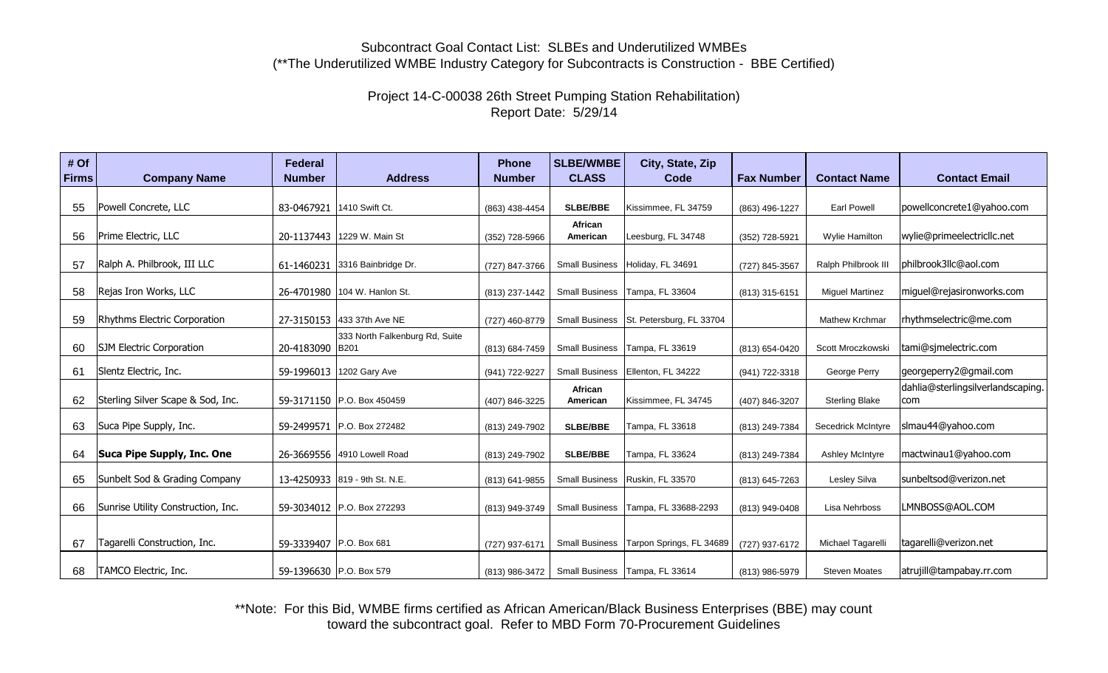# Project 14-C-00038 26th Street Pumping Station Rehabilitation) Report Date: 5/29/14

| # Of<br><b>Firms</b> | <b>Company Name</b>                | <b>Federal</b><br><b>Number</b> | <b>Address</b>                 | <b>Phone</b><br><b>Number</b> | <b>SLBE/WMBE</b><br><b>CLASS</b> | City, State, Zip<br>Code | <b>Fax Number</b> | <b>Contact Name</b>    | <b>Contact Email</b>                     |
|----------------------|------------------------------------|---------------------------------|--------------------------------|-------------------------------|----------------------------------|--------------------------|-------------------|------------------------|------------------------------------------|
| 55                   | Powell Concrete, LLC               |                                 | 83-0467921 1410 Swift Ct.      | (863) 438-4454                | <b>SLBE/BBE</b>                  | Kissimmee, FL 34759      | (863) 496-1227    | <b>Earl Powell</b>     | powellconcrete1@yahoo.com                |
| 56                   | Prime Electric, LLC                | 20-1137443                      | 1229 W. Main St                | (352) 728-5966                | African<br>American              | Leesburg, FL 34748       | (352) 728-5921    | Wylie Hamilton         | wylie@primeelectricllc.net               |
| 57                   | Ralph A. Philbrook, III LLC        |                                 | 61-1460231 3316 Bainbridge Dr. | (727) 847-3766                | <b>Small Business</b>            | Holiday, FL 34691        | (727) 845-3567    | Ralph Philbrook III    | philbrook3llc@aol.com                    |
| 58                   | Rejas Iron Works, LLC              |                                 | 26-4701980 104 W. Hanlon St.   | (813) 237-1442                | <b>Small Business</b>            | Tampa, FL 33604          | (813) 315-6151    | <b>Miguel Martinez</b> | miguel@rejasironworks.com                |
| 59                   | Rhythms Electric Corporation       |                                 | 27-3150153 433 37th Ave NE     | (727) 460-8779                | <b>Small Business</b>            | St. Petersburg, FL 33704 |                   | <b>Mathew Krchmar</b>  | rhythmselectric@me.com                   |
| 60                   | <b>SJM Electric Corporation</b>    | 20-4183090 B201                 | 333 North Falkenburg Rd, Suite | (813) 684-7459                | <b>Small Business</b>            | Tampa, FL 33619          | (813) 654-0420    | Scott Mroczkowski      | tami@sjmelectric.com                     |
| 61                   | Slentz Electric, Inc.              |                                 | 59-1996013 1202 Gary Ave       | (941) 722-9227                | <b>Small Business</b>            | Ellenton, FL 34222       | (941) 722-3318    | George Perry           | georgeperry2@gmail.com                   |
| 62                   | Sterling Silver Scape & Sod, Inc.  |                                 | 59-3171150 P.O. Box 450459     | (407) 846-3225                | African<br>American              | Kissimmee, FL 34745      | (407) 846-3207    | <b>Sterling Blake</b>  | dahlia@sterlingsilverlandscaping.<br>com |
| 63                   | Suca Pipe Supply, Inc.             |                                 | 59-2499571 P.O. Box 272482     | (813) 249-7902                | <b>SLBE/BBE</b>                  | Tampa, FL 33618          | (813) 249-7384    | Secedrick McIntyre     | slmau44@yahoo.com                        |
| 64                   | Suca Pipe Supply, Inc. One         |                                 | 26-3669556 4910 Lowell Road    | (813) 249-7902                | <b>SLBE/BBE</b>                  | Tampa, FL 33624          | (813) 249-7384    | <b>Ashley McIntyre</b> | mactwinau1@yahoo.com                     |
| 65                   | Sunbelt Sod & Grading Company      |                                 | 13-4250933 819 - 9th St. N.E.  | (813) 641-9855                | <b>Small Business</b>            | Ruskin, FL 33570         | (813) 645-7263    | Lesley Silva           | sunbeltsod@verizon.net                   |
| 66                   | Sunrise Utility Construction, Inc. |                                 | 59-3034012 P.O. Box 272293     | (813) 949-3749                | <b>Small Business</b>            | Tampa, FL 33688-2293     | (813) 949-0408    | Lisa Nehrboss          | LMNBOSS@AOL.COM                          |
| 67                   | Tagarelli Construction, Inc.       | 59-3339407 P.O. Box 681         |                                | (727) 937-6171                | <b>Small Business</b>            | Tarpon Springs, FL 34689 | (727) 937-6172    | Michael Tagarelli      | tagarelli@verizon.net                    |
| 68                   | TAMCO Electric, Inc.               | 59-1396630 P.O. Box 579         |                                | (813) 986-3472                | <b>Small Business</b>            | Tampa, FL 33614          | (813) 986-5979    | <b>Steven Moates</b>   | atrujill@tampabay.rr.com                 |